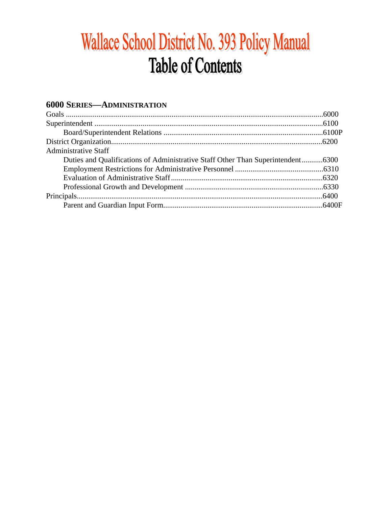# Wallace School District No. 393 Policy Manual **Table of Contents**

# **6000 SERIES-ADMINISTRATION**

| <b>Administrative Staff</b>                                                     |  |
|---------------------------------------------------------------------------------|--|
| Duties and Qualifications of Administrative Staff Other Than Superintendent6300 |  |
|                                                                                 |  |
|                                                                                 |  |
|                                                                                 |  |
|                                                                                 |  |
|                                                                                 |  |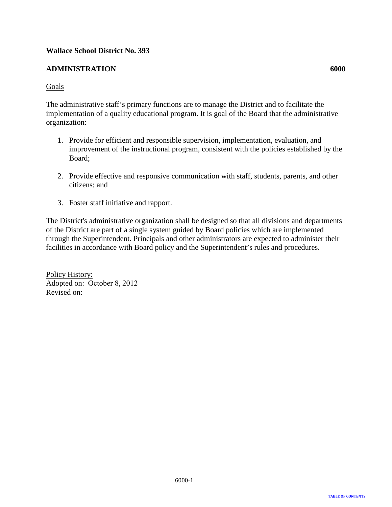#### <span id="page-1-0"></span>**ADMINISTRATION 6000**

#### Goals

The administrative staff's primary functions are to manage the District and to facilitate the implementation of a quality educational program. It is goal of the Board that the administrative organization:

- 1. Provide for efficient and responsible supervision, implementation, evaluation, and improvement of the instructional program, consistent with the policies established by the Board;
- 2. Provide effective and responsive communication with staff, students, parents, and other citizens; and
- 3. Foster staff initiative and rapport.

The District's administrative organization shall be designed so that all divisions and departments of the District are part of a single system guided by Board policies which are implemented through the Superintendent. Principals and other administrators are expected to administer their facilities in accordance with Board policy and the Superintendent's rules and procedures.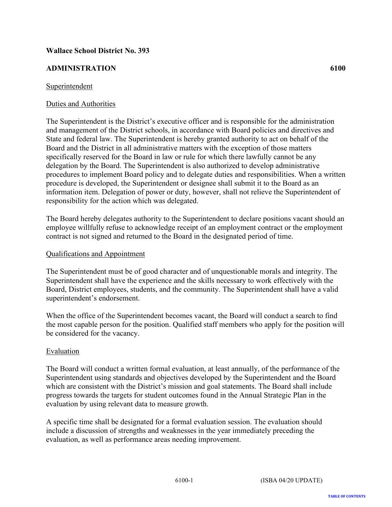# <span id="page-2-0"></span>**ADMINISTRATION 6100**

#### Superintendent

#### Duties and Authorities

The Superintendent is the District's executive officer and is responsible for the administration and management of the District schools, in accordance with Board policies and directives and State and federal law. The Superintendent is hereby granted authority to act on behalf of the Board and the District in all administrative matters with the exception of those matters specifically reserved for the Board in law or rule for which there lawfully cannot be any delegation by the Board. The Superintendent is also authorized to develop administrative procedures to implement Board policy and to delegate duties and responsibilities. When a written procedure is developed, the Superintendent or designee shall submit it to the Board as an information item. Delegation of power or duty, however, shall not relieve the Superintendent of responsibility for the action which was delegated.

The Board hereby delegates authority to the Superintendent to declare positions vacant should an employee willfully refuse to acknowledge receipt of an employment contract or the employment contract is not signed and returned to the Board in the designated period of time.

#### Qualifications and Appointment

The Superintendent must be of good character and of unquestionable morals and integrity. The Superintendent shall have the experience and the skills necessary to work effectively with the Board, District employees, students, and the community. The Superintendent shall have a valid superintendent's endorsement.

When the office of the Superintendent becomes vacant, the Board will conduct a search to find the most capable person for the position. Qualified staff members who apply for the position will be considered for the vacancy.

#### Evaluation

The Board will conduct a written formal evaluation, at least annually, of the performance of the Superintendent using standards and objectives developed by the Superintendent and the Board which are consistent with the District's mission and goal statements. The Board shall include progress towards the targets for student outcomes found in the Annual Strategic Plan in the evaluation by using relevant data to measure growth.

A specific time shall be designated for a formal evaluation session. The evaluation should include a discussion of strengths and weaknesses in the year immediately preceding the evaluation, as well as performance areas needing improvement.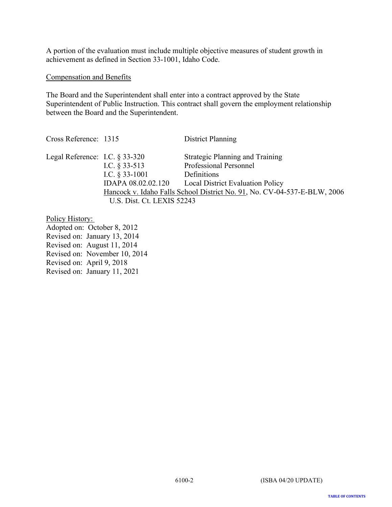A portion of the evaluation must include multiple objective measures of student growth in achievement as defined in Section 33-1001, Idaho Code.

#### Compensation and Benefits

The Board and the Superintendent shall enter into a contract approved by the State Superintendent of Public Instruction. This contract shall govern the employment relationship between the Board and the Superintendent.

Cross Reference: 1315 District Planning Legal Reference: I.C. § 33-320 Strategic Planning and Training<br>I.C. § 33-513 Professional Personnel Professional Personnel I.C. § 33-1001 Definitions IDAPA 08.02.02.120 Local District Evaluation Policy Hancock v. Idaho Falls School District No. 91, No. CV-04-537-E-BLW, 2006 U.S. Dist. Ct. LEXIS 52243

Policy History: Adopted on: October 8, 2012 Revised on: January 13, 2014 Revised on: August 11, 2014 Revised on: November 10, 2014 Revised on: April 9, 2018

Revised on: January 11, 2021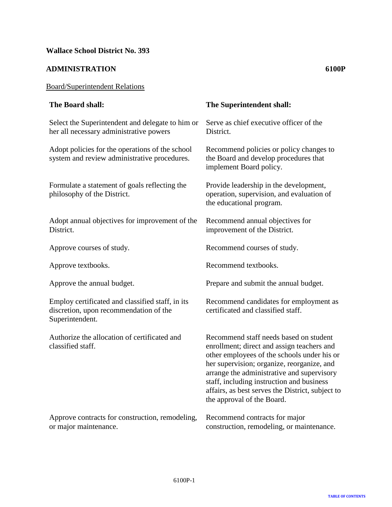#### <span id="page-4-0"></span>**ADMINISTRATION 6100P**

# Board/Superintendent Relations

| The Board shall:                                                                                              | The Superintendent shall:                                                                                                                                                                                                                                                                                                                                      |
|---------------------------------------------------------------------------------------------------------------|----------------------------------------------------------------------------------------------------------------------------------------------------------------------------------------------------------------------------------------------------------------------------------------------------------------------------------------------------------------|
| Select the Superintendent and delegate to him or<br>her all necessary administrative powers                   | Serve as chief executive officer of the<br>District.                                                                                                                                                                                                                                                                                                           |
| Adopt policies for the operations of the school<br>system and review administrative procedures.               | Recommend policies or policy changes to<br>the Board and develop procedures that<br>implement Board policy.                                                                                                                                                                                                                                                    |
| Formulate a statement of goals reflecting the<br>philosophy of the District.                                  | Provide leadership in the development,<br>operation, supervision, and evaluation of<br>the educational program.                                                                                                                                                                                                                                                |
| Adopt annual objectives for improvement of the<br>District.                                                   | Recommend annual objectives for<br>improvement of the District.                                                                                                                                                                                                                                                                                                |
| Approve courses of study.                                                                                     | Recommend courses of study.                                                                                                                                                                                                                                                                                                                                    |
| Approve textbooks.                                                                                            | Recommend textbooks.                                                                                                                                                                                                                                                                                                                                           |
| Approve the annual budget.                                                                                    | Prepare and submit the annual budget.                                                                                                                                                                                                                                                                                                                          |
| Employ certificated and classified staff, in its<br>discretion, upon recommendation of the<br>Superintendent. | Recommend candidates for employment as<br>certificated and classified staff.                                                                                                                                                                                                                                                                                   |
| Authorize the allocation of certificated and<br>classified staff.                                             | Recommend staff needs based on student<br>enrollment; direct and assign teachers and<br>other employees of the schools under his or<br>her supervision; organize, reorganize, and<br>arrange the administrative and supervisory<br>staff, including instruction and business<br>affairs, as best serves the District, subject to<br>the approval of the Board. |
| Approve contracts for construction, remodeling,<br>or major maintenance.                                      | Recommend contracts for major<br>construction, remodeling, or maintenance.                                                                                                                                                                                                                                                                                     |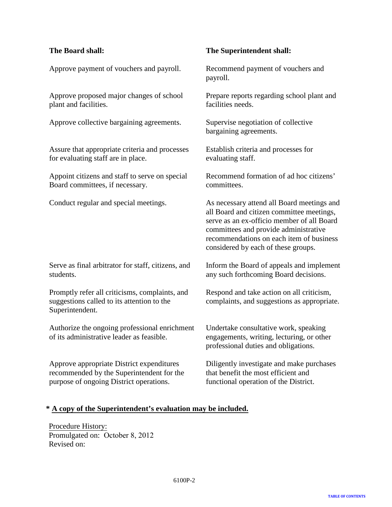Approve payment of vouchers and payroll. Recommend payment of vouchers and

Approve proposed major changes of school plant and facilities.

Approve collective bargaining agreements. Supervise negotiation of collective

Assure that appropriate criteria and processes for evaluating staff are in place.

Appoint citizens and staff to serve on special Board committees, if necessary.

Serve as final arbitrator for staff, citizens, and students.

Promptly refer all criticisms, complaints, and suggestions called to its attention to the Superintendent.

Authorize the ongoing professional enrichment of its administrative leader as feasible.

Approve appropriate District expenditures recommended by the Superintendent for the purpose of ongoing District operations.

#### **The Board shall: The Superintendent shall:**

payroll.

Prepare reports regarding school plant and facilities needs.

bargaining agreements.

Establish criteria and processes for evaluating staff.

Recommend formation of ad hoc citizens' committees.

Conduct regular and special meetings. As necessary attend all Board meetings and all Board and citizen committee meetings, serve as an ex-officio member of all Board committees and provide administrative recommendations on each item of business considered by each of these groups.

> Inform the Board of appeals and implement any such forthcoming Board decisions.

> Respond and take action on all criticism, complaints, and suggestions as appropriate.

Undertake consultative work, speaking engagements, writing, lecturing, or other professional duties and obligations.

Diligently investigate and make purchases that benefit the most efficient and functional operation of the District.

#### **\* A copy of the Superintendent's evaluation may be included.**

Procedure History: Promulgated on: October 8, 2012 Revised on: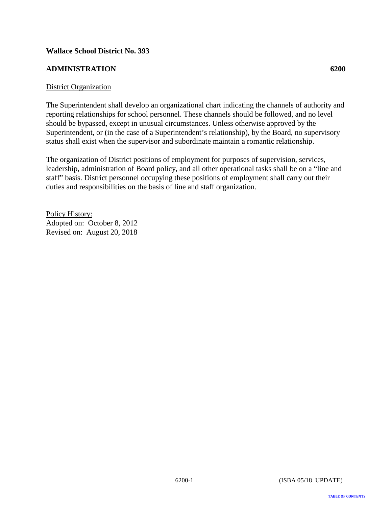# <span id="page-6-0"></span>**ADMINISTRATION 6200**

#### District Organization

The Superintendent shall develop an organizational chart indicating the channels of authority and reporting relationships for school personnel. These channels should be followed, and no level should be bypassed, except in unusual circumstances. Unless otherwise approved by the Superintendent, or (in the case of a Superintendent's relationship), by the Board, no supervisory status shall exist when the supervisor and subordinate maintain a romantic relationship.

The organization of District positions of employment for purposes of supervision, services, leadership, administration of Board policy, and all other operational tasks shall be on a "line and staff" basis. District personnel occupying these positions of employment shall carry out their duties and responsibilities on the basis of line and staff organization.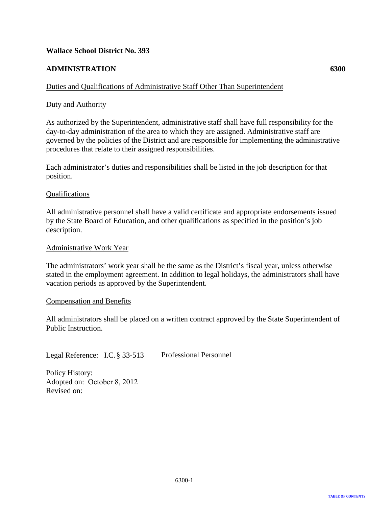#### <span id="page-7-0"></span>**ADMINISTRATION 6300**

#### Duties and Qualifications of Administrative Staff Other Than Superintendent

#### Duty and Authority

As authorized by the Superintendent, administrative staff shall have full responsibility for the day-to-day administration of the area to which they are assigned. Administrative staff are governed by the policies of the District and are responsible for implementing the administrative procedures that relate to their assigned responsibilities.

Each administrator's duties and responsibilities shall be listed in the job description for that position.

#### Qualifications

All administrative personnel shall have a valid certificate and appropriate endorsements issued by the State Board of Education, and other qualifications as specified in the position's job description.

#### Administrative Work Year

The administrators' work year shall be the same as the District's fiscal year, unless otherwise stated in the employment agreement. In addition to legal holidays, the administrators shall have vacation periods as approved by the Superintendent.

#### Compensation and Benefits

All administrators shall be placed on a written contract approved by the State Superintendent of Public Instruction.

Legal Reference: I.C. § 33-513 Professional Personnel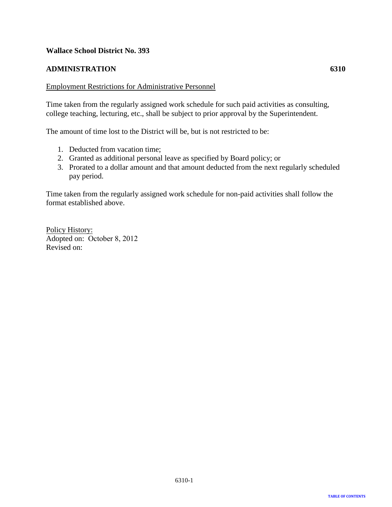#### <span id="page-8-0"></span>**ADMINISTRATION 6310**

Time taken from the regularly assigned work schedule for such paid activities as consulting, college teaching, lecturing, etc., shall be subject to prior approval by the Superintendent.

The amount of time lost to the District will be, but is not restricted to be:

- 1. Deducted from vacation time;
- 2. Granted as additional personal leave as specified by Board policy; or
- 3. Prorated to a dollar amount and that amount deducted from the next regularly scheduled pay period.

Time taken from the regularly assigned work schedule for non-paid activities shall follow the format established above.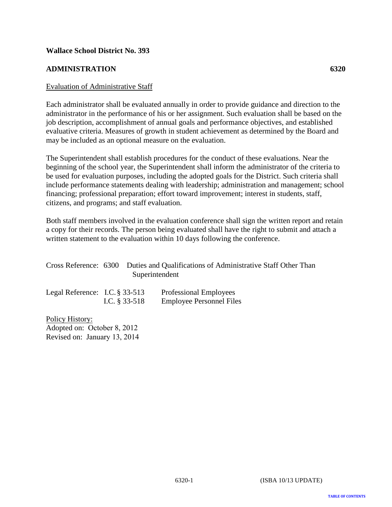#### <span id="page-9-0"></span>**ADMINISTRATION 6320**

#### Evaluation of Administrative Staff

Each administrator shall be evaluated annually in order to provide guidance and direction to the administrator in the performance of his or her assignment. Such evaluation shall be based on the job description, accomplishment of annual goals and performance objectives, and established evaluative criteria. Measures of growth in student achievement as determined by the Board and may be included as an optional measure on the evaluation.

The Superintendent shall establish procedures for the conduct of these evaluations. Near the beginning of the school year, the Superintendent shall inform the administrator of the criteria to be used for evaluation purposes, including the adopted goals for the District. Such criteria shall include performance statements dealing with leadership; administration and management; school financing; professional preparation; effort toward improvement; interest in students, staff, citizens, and programs; and staff evaluation.

Both staff members involved in the evaluation conference shall sign the written report and retain a copy for their records. The person being evaluated shall have the right to submit and attach a written statement to the evaluation within 10 days following the conference.

|  | Cross Reference: 6300 Duties and Qualifications of Administrative Staff Other Than |
|--|------------------------------------------------------------------------------------|
|  | Superintendent                                                                     |

| Legal Reference: I.C. $\S 33-513$ |                  | Professional Employees          |
|-----------------------------------|------------------|---------------------------------|
|                                   | I.C. $\S 33-518$ | <b>Employee Personnel Files</b> |

Policy History: Adopted on: October 8, 2012 Revised on: January 13, 2014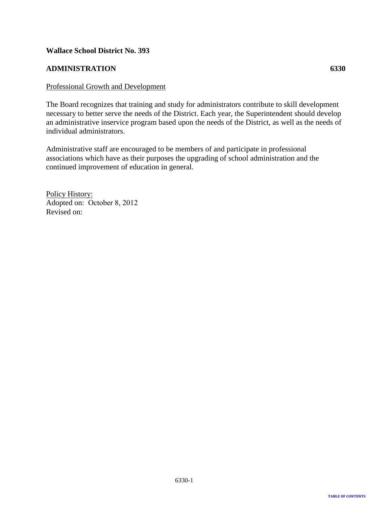#### <span id="page-10-0"></span>**ADMINISTRATION 6330**

#### Professional Growth and Development

The Board recognizes that training and study for administrators contribute to skill development necessary to better serve the needs of the District. Each year, the Superintendent should develop an administrative inservice program based upon the needs of the District, as well as the needs of individual administrators.

Administrative staff are encouraged to be members of and participate in professional associations which have as their purposes the upgrading of school administration and the continued improvement of education in general.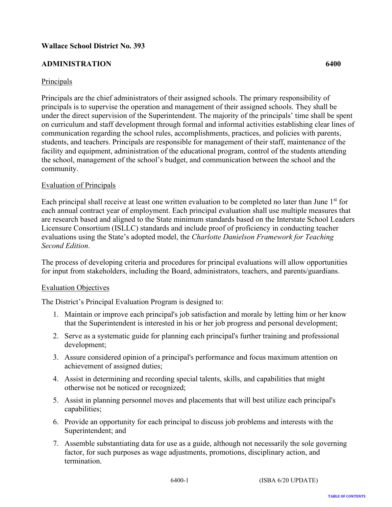# <span id="page-11-0"></span>**ADMINISTRATION 6400**

### Principals

Principals are the chief administrators of their assigned schools. The primary responsibility of principals is to supervise the operation and management of their assigned schools. They shall be under the direct supervision of the Superintendent. The majority of the principals' time shall be spent on curriculum and staff development through formal and informal activities establishing clear lines of communication regarding the school rules, accomplishments, practices, and policies with parents, students, and teachers. Principals are responsible for management of their staff, maintenance of the facility and equipment, administration of the educational program, control of the students attending the school, management of the school's budget, and communication between the school and the community.

#### Evaluation of Principals

Each principal shall receive at least one written evaluation to be completed no later than June  $1<sup>st</sup>$  for each annual contract year of employment. Each principal evaluation shall use multiple measures that are research based and aligned to the State minimum standards based on the Interstate School Leaders Licensure Consortium (ISLLC) standards and include proof of proficiency in conducting teacher evaluations using the State's adopted model, the *Charlotte Danielson Framework for Teaching Second Edition*.

The process of developing criteria and procedures for principal evaluations will allow opportunities for input from stakeholders, including the Board, administrators, teachers, and parents/guardians.

#### Evaluation Objectives

The District's Principal Evaluation Program is designed to:

- 1. Maintain or improve each principal's job satisfaction and morale by letting him or her know that the Superintendent is interested in his or her job progress and personal development;
- 2. Serve as a systematic guide for planning each principal's further training and professional development;
- 3. Assure considered opinion of a principal's performance and focus maximum attention on achievement of assigned duties;
- 4. Assist in determining and recording special talents, skills, and capabilities that might otherwise not be noticed or recognized;
- 5. Assist in planning personnel moves and placements that will best utilize each principal's capabilities;
- 6. Provide an opportunity for each principal to discuss job problems and interests with the Superintendent; and
- 7. Assemble substantiating data for use as a guide, although not necessarily the sole governing factor, for such purposes as wage adjustments, promotions, disciplinary action, and termination.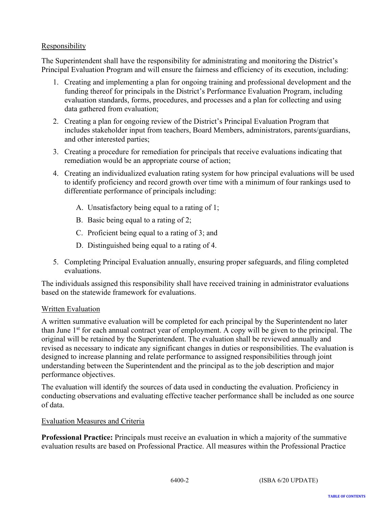# Responsibility

The Superintendent shall have the responsibility for administrating and monitoring the District's Principal Evaluation Program and will ensure the fairness and efficiency of its execution, including:

- 1. Creating and implementing a plan for ongoing training and professional development and the funding thereof for principals in the District's Performance Evaluation Program, including evaluation standards, forms, procedures, and processes and a plan for collecting and using data gathered from evaluation;
- 2. Creating a plan for ongoing review of the District's Principal Evaluation Program that includes stakeholder input from teachers, Board Members, administrators, parents/guardians, and other interested parties;
- 3. Creating a procedure for remediation for principals that receive evaluations indicating that remediation would be an appropriate course of action;
- 4. Creating an individualized evaluation rating system for how principal evaluations will be used to identify proficiency and record growth over time with a minimum of four rankings used to differentiate performance of principals including:
	- A. Unsatisfactory being equal to a rating of 1;
	- B. Basic being equal to a rating of 2;
	- C. Proficient being equal to a rating of 3; and
	- D. Distinguished being equal to a rating of 4.
- 5. Completing Principal Evaluation annually, ensuring proper safeguards, and filing completed evaluations.

The individuals assigned this responsibility shall have received training in administrator evaluations based on the statewide framework for evaluations.

### Written Evaluation

A written summative evaluation will be completed for each principal by the Superintendent no later than June  $1<sup>st</sup>$  for each annual contract year of employment. A copy will be given to the principal. The original will be retained by the Superintendent. The evaluation shall be reviewed annually and revised as necessary to indicate any significant changes in duties or responsibilities. The evaluation is designed to increase planning and relate performance to assigned responsibilities through joint understanding between the Superintendent and the principal as to the job description and major performance objectives.

The evaluation will identify the sources of data used in conducting the evaluation. Proficiency in conducting observations and evaluating effective teacher performance shall be included as one source of data.

#### Evaluation Measures and Criteria

**Professional Practice:** Principals must receive an evaluation in which a majority of the summative evaluation results are based on Professional Practice. All measures within the Professional Practice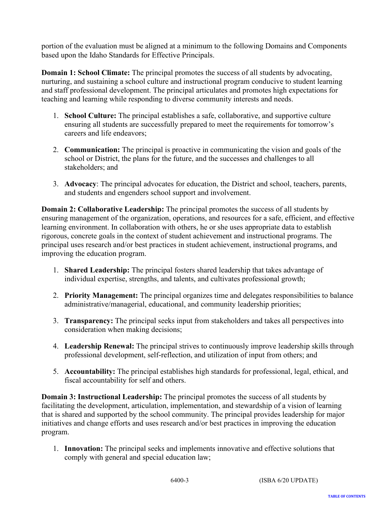portion of the evaluation must be aligned at a minimum to the following Domains and Components based upon the Idaho Standards for Effective Principals.

**Domain 1: School Climate:** The principal promotes the success of all students by advocating, nurturing, and sustaining a school culture and instructional program conducive to student learning and staff professional development. The principal articulates and promotes high expectations for teaching and learning while responding to diverse community interests and needs.

- 1. **School Culture:** The principal establishes a safe, collaborative, and supportive culture ensuring all students are successfully prepared to meet the requirements for tomorrow's careers and life endeavors;
- 2. **Communication:** The principal is proactive in communicating the vision and goals of the school or District, the plans for the future, and the successes and challenges to all stakeholders; and
- 3. **Advocacy**: The principal advocates for education, the District and school, teachers, parents, and students and engenders school support and involvement.

**Domain 2: Collaborative Leadership:** The principal promotes the success of all students by ensuring management of the organization, operations, and resources for a safe, efficient, and effective learning environment. In collaboration with others, he or she uses appropriate data to establish rigorous, concrete goals in the context of student achievement and instructional programs. The principal uses research and/or best practices in student achievement, instructional programs, and improving the education program.

- 1. **Shared Leadership:** The principal fosters shared leadership that takes advantage of individual expertise, strengths, and talents, and cultivates professional growth;
- 2. **Priority Management:** The principal organizes time and delegates responsibilities to balance administrative/managerial, educational, and community leadership priorities;
- 3. **Transparency:** The principal seeks input from stakeholders and takes all perspectives into consideration when making decisions;
- 4. **Leadership Renewal:** The principal strives to continuously improve leadership skills through professional development, self-reflection, and utilization of input from others; and
- 5. **Accountability:** The principal establishes high standards for professional, legal, ethical, and fiscal accountability for self and others.

**Domain 3: Instructional Leadership:** The principal promotes the success of all students by facilitating the development, articulation, implementation, and stewardship of a vision of learning that is shared and supported by the school community. The principal provides leadership for major initiatives and change efforts and uses research and/or best practices in improving the education program.

1. **Innovation:** The principal seeks and implements innovative and effective solutions that comply with general and special education law;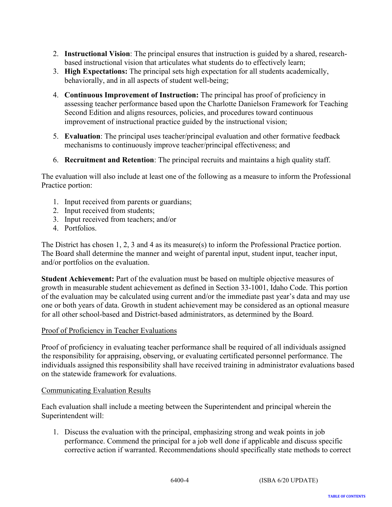- 2. **Instructional Vision**: The principal ensures that instruction is guided by a shared, researchbased instructional vision that articulates what students do to effectively learn;
- 3. **High Expectations:** The principal sets high expectation for all students academically, behaviorally, and in all aspects of student well-being;
- 4. **Continuous Improvement of Instruction:** The principal has proof of proficiency in assessing teacher performance based upon the Charlotte Danielson Framework for Teaching Second Edition and aligns resources, policies, and procedures toward continuous improvement of instructional practice guided by the instructional vision;
- 5. **Evaluation**: The principal uses teacher/principal evaluation and other formative feedback mechanisms to continuously improve teacher/principal effectiveness; and
- 6. **Recruitment and Retention**: The principal recruits and maintains a high quality staff.

The evaluation will also include at least one of the following as a measure to inform the Professional Practice portion:

- 1. Input received from parents or guardians;
- 2. Input received from students;
- 3. Input received from teachers; and/or
- 4. Portfolios.

The District has chosen 1, 2, 3 and 4 as its measure(s) to inform the Professional Practice portion. The Board shall determine the manner and weight of parental input, student input, teacher input, and/or portfolios on the evaluation.

**Student Achievement:** Part of the evaluation must be based on multiple objective measures of growth in measurable student achievement as defined in Section 33-1001, Idaho Code. This portion of the evaluation may be calculated using current and/or the immediate past year's data and may use one or both years of data. Growth in student achievement may be considered as an optional measure for all other school-based and District-based administrators, as determined by the Board.

### Proof of Proficiency in Teacher Evaluations

Proof of proficiency in evaluating teacher performance shall be required of all individuals assigned the responsibility for appraising, observing, or evaluating certificated personnel performance. The individuals assigned this responsibility shall have received training in administrator evaluations based on the statewide framework for evaluations.

### Communicating Evaluation Results

Each evaluation shall include a meeting between the Superintendent and principal wherein the Superintendent will:

1. Discuss the evaluation with the principal, emphasizing strong and weak points in job performance. Commend the principal for a job well done if applicable and discuss specific corrective action if warranted. Recommendations should specifically state methods to correct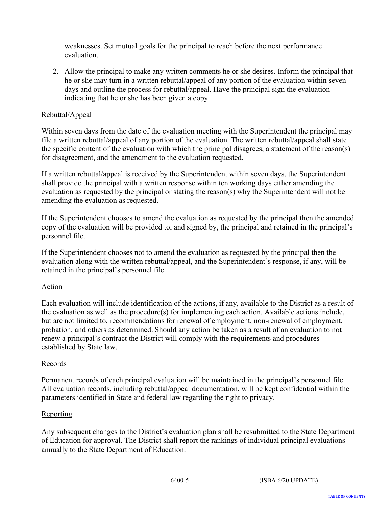weaknesses. Set mutual goals for the principal to reach before the next performance evaluation.

2. Allow the principal to make any written comments he or she desires. Inform the principal that he or she may turn in a written rebuttal/appeal of any portion of the evaluation within seven days and outline the process for rebuttal/appeal. Have the principal sign the evaluation indicating that he or she has been given a copy.

# Rebuttal/Appeal

Within seven days from the date of the evaluation meeting with the Superintendent the principal may file a written rebuttal/appeal of any portion of the evaluation. The written rebuttal/appeal shall state the specific content of the evaluation with which the principal disagrees, a statement of the reason(s) for disagreement, and the amendment to the evaluation requested.

If a written rebuttal/appeal is received by the Superintendent within seven days, the Superintendent shall provide the principal with a written response within ten working days either amending the evaluation as requested by the principal or stating the reason(s) why the Superintendent will not be amending the evaluation as requested.

If the Superintendent chooses to amend the evaluation as requested by the principal then the amended copy of the evaluation will be provided to, and signed by, the principal and retained in the principal's personnel file.

If the Superintendent chooses not to amend the evaluation as requested by the principal then the evaluation along with the written rebuttal/appeal, and the Superintendent's response, if any, will be retained in the principal's personnel file.

### Action

Each evaluation will include identification of the actions, if any, available to the District as a result of the evaluation as well as the procedure(s) for implementing each action. Available actions include, but are not limited to, recommendations for renewal of employment, non-renewal of employment, probation, and others as determined. Should any action be taken as a result of an evaluation to not renew a principal's contract the District will comply with the requirements and procedures established by State law.

### Records

Permanent records of each principal evaluation will be maintained in the principal's personnel file. All evaluation records, including rebuttal/appeal documentation, will be kept confidential within the parameters identified in State and federal law regarding the right to privacy.

### Reporting

Any subsequent changes to the District's evaluation plan shall be resubmitted to the State Department of Education for approval. The District shall report the rankings of individual principal evaluations annually to the State Department of Education.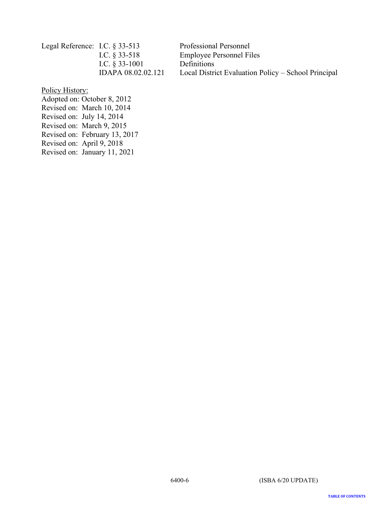| Legal Reference: I.C. $\S$ 33-513 |                    | Professional Personnel                              |
|-----------------------------------|--------------------|-----------------------------------------------------|
|                                   | I.C. $\S$ 33-518   | <b>Employee Personnel Files</b>                     |
|                                   | I.C. $§$ 33-1001   | Definitions                                         |
|                                   | IDAPA 08.02.02.121 | Local District Evaluation Policy – School Principal |

Policy History:

Adopted on: October 8, 2012 Revised on: March 10, 2014 Revised on: July 14, 2014 Revised on: March 9, 2015 Revised on: February 13, 2017 Revised on: April 9, 2018 Revised on: January 11, 2021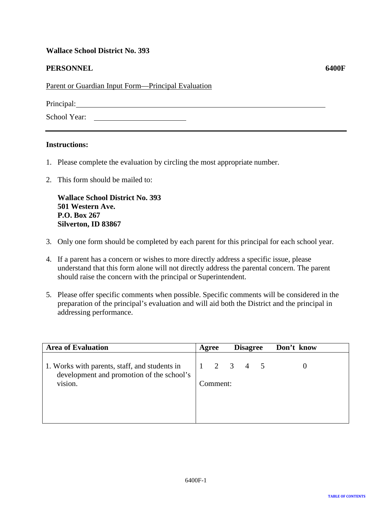#### <span id="page-17-0"></span>**PERSONNEL** 6400F

Parent or Guardian Input Form—Principal Evaluation

Principal:  $\blacksquare$ 

School Year:

#### **Instructions:**

- 1. Please complete the evaluation by circling the most appropriate number.
- 2. This form should be mailed to:

**Wallace School District No. 393 501 Western Ave. P.O. Box 267 Silverton, ID 83867**

- 3. Only one form should be completed by each parent for this principal for each school year.
- 4. If a parent has a concern or wishes to more directly address a specific issue, please understand that this form alone will not directly address the parental concern. The parent should raise the concern with the principal or Superintendent.
- 5. Please offer specific comments when possible. Specific comments will be considered in the preparation of the principal's evaluation and will aid both the District and the principal in addressing performance.

| <b>Area of Evaluation</b>                                                                             | Agree |          | <b>Disagree</b>     | Don't know |
|-------------------------------------------------------------------------------------------------------|-------|----------|---------------------|------------|
| 1. Works with parents, staff, and students in<br>development and promotion of the school's<br>vision. |       | Comment: | $1 \t2 \t3 \t4 \t5$ |            |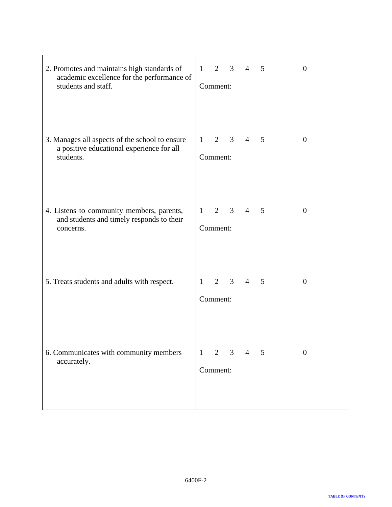| 2. Promotes and maintains high standards of<br>academic excellence for the performance of<br>students and staff. | $1 \quad 2 \quad 3$<br>5<br>$\overline{0}$<br>$\overline{4}$<br>Comment:                   |
|------------------------------------------------------------------------------------------------------------------|--------------------------------------------------------------------------------------------|
| 3. Manages all aspects of the school to ensure<br>a positive educational experience for all<br>students.         | $1 \quad$<br>$2 \quad 3$<br>$5\phantom{0}$<br>$\overline{4}$<br>$\overline{0}$<br>Comment: |
| 4. Listens to community members, parents,<br>and students and timely responds to their<br>concerns.              | $1 \quad 2 \quad 3$<br>$\overline{4}$<br>5<br>$\boldsymbol{0}$<br>Comment:                 |
| 5. Treats students and adults with respect.                                                                      | $2 \quad 3$<br>$\overline{4}$<br>5<br>1<br>$\overline{0}$<br>Comment:                      |
| 6. Communicates with community members<br>accurately.                                                            | $\mathbf{1}$<br>$\overline{2}$<br>3<br>$\overline{0}$<br>4<br>5<br>Comment:                |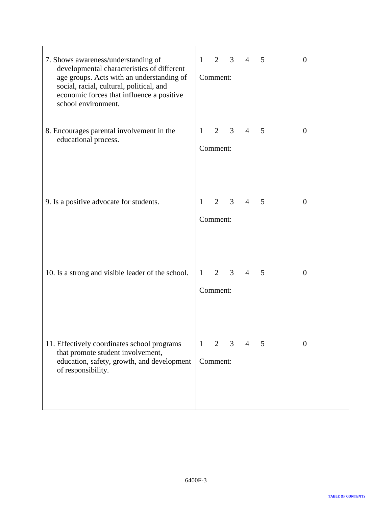| 7. Shows awareness/understanding of<br>developmental characteristics of different<br>age groups. Acts with an understanding of<br>social, racial, cultural, political, and<br>economic forces that influence a positive<br>school environment. | $1 \quad 2 \quad 3$<br>5<br>$\overline{4}$<br>$\theta$<br>Comment:                 |
|------------------------------------------------------------------------------------------------------------------------------------------------------------------------------------------------------------------------------------------------|------------------------------------------------------------------------------------|
| 8. Encourages parental involvement in the<br>educational process.                                                                                                                                                                              | $2 \quad 3$<br>$\mathbf{1}$<br>$\overline{4}$<br>5<br>$\overline{0}$<br>Comment:   |
| 9. Is a positive advocate for students.                                                                                                                                                                                                        | $2 \quad 3$<br>$\overline{4}$<br>$\mathbf{1}$<br>5<br>$\boldsymbol{0}$<br>Comment: |
| 10. Is a strong and visible leader of the school.                                                                                                                                                                                              | $1 \quad 2$<br>3 <sup>7</sup><br>$\overline{4}$<br>5<br>$\theta$<br>Comment:       |
| 11. Effectively coordinates school programs<br>that promote student involvement,<br>education, safety, growth, and development<br>of responsibility.                                                                                           | 2<br>3<br>$\mathbf{1}$<br>5<br>$\theta$<br>4<br>Comment:                           |